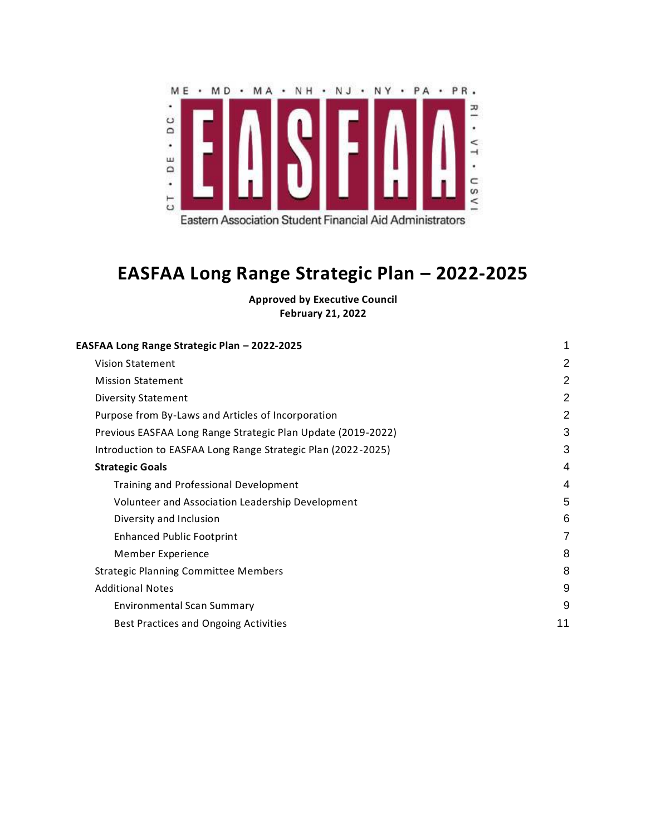

# <span id="page-0-0"></span>**EASFAA Long Range Strategic Plan – 2022-2025**

**Approved by Executive Council February 21, 2022**

| EASFAA Long Range Strategic Plan - 2022-2025                 | 1              |
|--------------------------------------------------------------|----------------|
| <b>Vision Statement</b>                                      | $\overline{2}$ |
| <b>Mission Statement</b>                                     | $\overline{2}$ |
| <b>Diversity Statement</b>                                   | $\overline{2}$ |
| Purpose from By-Laws and Articles of Incorporation           | $\overline{2}$ |
| Previous EASFAA Long Range Strategic Plan Update (2019-2022) | 3              |
| Introduction to EASFAA Long Range Strategic Plan (2022-2025) | 3              |
| <b>Strategic Goals</b>                                       | 4              |
| Training and Professional Development                        | 4              |
| Volunteer and Association Leadership Development             | 5              |
| Diversity and Inclusion                                      | 6              |
| <b>Enhanced Public Footprint</b>                             | 7              |
| Member Experience                                            | 8              |
| <b>Strategic Planning Committee Members</b>                  | 8              |
| <b>Additional Notes</b>                                      | 9              |
| <b>Environmental Scan Summary</b>                            | 9              |
| Best Practices and Ongoing Activities                        | 11             |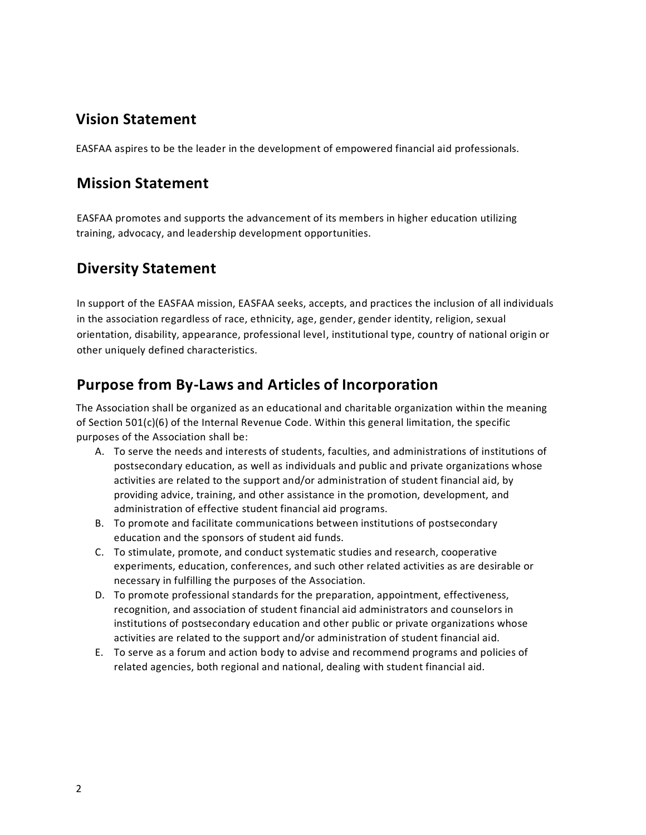## <span id="page-1-0"></span>**Vision Statement**

<span id="page-1-1"></span>EASFAA aspires to be the leader in the development of empowered financial aid professionals.

## **Mission Statement**

EASFAA promotes and supports the advancement of its members in higher education utilizing training, advocacy, and leadership development opportunities.

## <span id="page-1-2"></span>**Diversity Statement**

In support of the EASFAA mission, EASFAA seeks, accepts, and practices the inclusion of all individuals in the association regardless of race, ethnicity, age, gender, gender identity, religion, sexual orientation, disability, appearance, professional level, institutional type, country of national origin or other uniquely defined characteristics.

## <span id="page-1-3"></span>**Purpose from By-Laws and Articles of Incorporation**

The Association shall be organized as an educational and charitable organization within the meaning of Section 501(c)(6) of the Internal Revenue Code. Within this general limitation, the specific purposes of the Association shall be:

- A. To serve the needs and interests of students, faculties, and administrations of institutions of postsecondary education, as well as individuals and public and private organizations whose activities are related to the support and/or administration of student financial aid, by providing advice, training, and other assistance in the promotion, development, and administration of effective student financial aid programs.
- B. To promote and facilitate communications between institutions of postsecondary education and the sponsors of student aid funds.
- C. To stimulate, promote, and conduct systematic studies and research, cooperative experiments, education, conferences, and such other related activities as are desirable or necessary in fulfilling the purposes of the Association.
- D. To promote professional standards for the preparation, appointment, effectiveness, recognition, and association of student financial aid administrators and counselors in institutions of postsecondary education and other public or private organizations whose activities are related to the support and/or administration of student financial aid.
- E. To serve as a forum and action body to advise and recommend programs and policies of related agencies, both regional and national, dealing with student financial aid.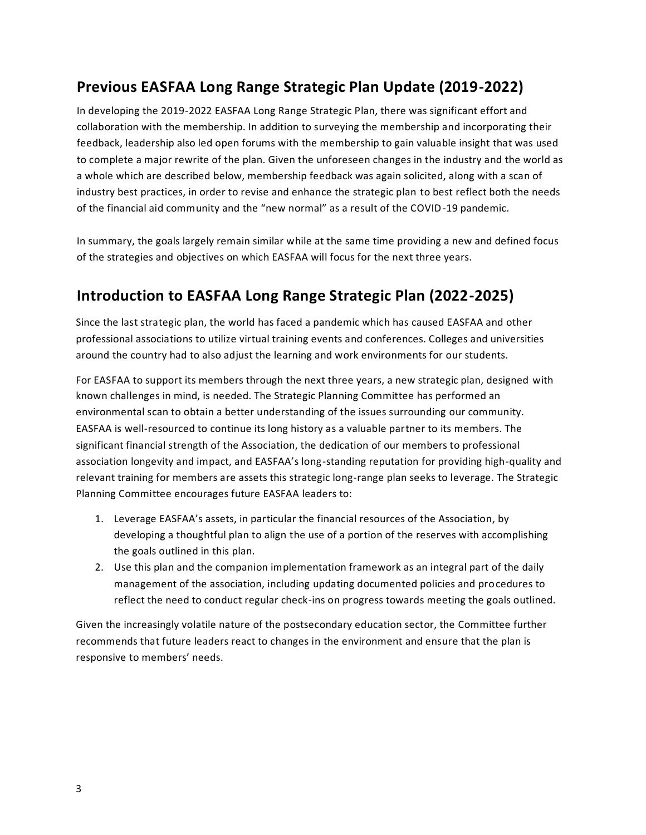## <span id="page-2-0"></span>**Previous EASFAA Long Range Strategic Plan Update (2019-2022)**

In developing the 2019-2022 EASFAA Long Range Strategic Plan, there was significant effort and collaboration with the membership. In addition to surveying the membership and incorporating their feedback, leadership also led open forums with the membership to gain valuable insight that was used to complete a major rewrite of the plan. Given the unforeseen changes in the industry and the world as a whole which are described below, membership feedback was again solicited, along with a scan of industry best practices, in order to revise and enhance the strategic plan to best reflect both the needs of the financial aid community and the "new normal" as a result of the COVID-19 pandemic.

In summary, the goals largely remain similar while at the same time providing a new and defined focus of the strategies and objectives on which EASFAA will focus for the next three years.

## <span id="page-2-1"></span>**Introduction to EASFAA Long Range Strategic Plan (2022-2025)**

Since the last strategic plan, the world has faced a pandemic which has caused EASFAA and other professional associations to utilize virtual training events and conferences. Colleges and universities around the country had to also adjust the learning and work environments for our students.

For EASFAA to support its members through the next three years, a new strategic plan, designed with known challenges in mind, is needed. The Strategic Planning Committee has performed an environmental scan to obtain a better understanding of the issues surrounding our community. EASFAA is well-resourced to continue its long history as a valuable partner to its members. The significant financial strength of the Association, the dedication of our members to professional association longevity and impact, and EASFAA's long-standing reputation for providing high-quality and relevant training for members are assets this strategic long-range plan seeks to leverage. The Strategic Planning Committee encourages future EASFAA leaders to:

- 1. Leverage EASFAA's assets, in particular the financial resources of the Association, by developing a thoughtful plan to align the use of a portion of the reserves with accomplishing the goals outlined in this plan.
- 2. Use this plan and the companion implementation framework as an integral part of the daily management of the association, including updating documented policies and procedures to reflect the need to conduct regular check-ins on progress towards meeting the goals outlined.

Given the increasingly volatile nature of the postsecondary education sector, the Committee further recommends that future leaders react to changes in the environment and ensure that the plan is responsive to members' needs.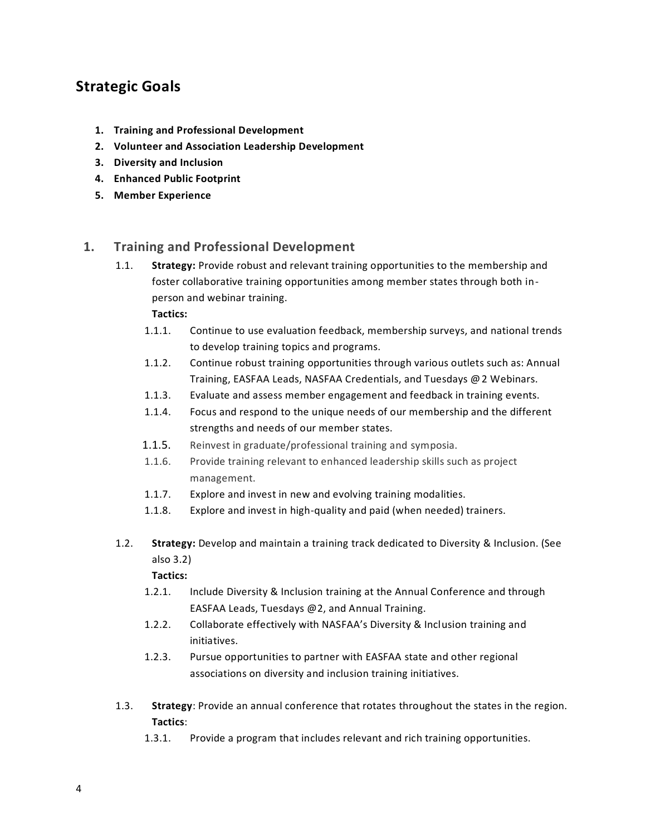## <span id="page-3-0"></span>**Strategic Goals**

- **1. Training and Professional Development**
- **2. Volunteer and Association Leadership Development**
- **3. Diversity and Inclusion**
- **4. Enhanced Public Footprint**
- **5. Member Experience**

#### <span id="page-3-1"></span>**1. Training and Professional Development**

1.1. **Strategy:** Provide robust and relevant training opportunities to the membership and foster collaborative training opportunities among member states through both inperson and webinar training.

**Tactics:**

- 1.1.1. Continue to use evaluation feedback, membership surveys, and national trends to develop training topics and programs.
- 1.1.2. Continue robust training opportunities through various outlets such as: Annual Training, EASFAA Leads, NASFAA Credentials, and Tuesdays @2 Webinars.
- 1.1.3. Evaluate and assess member engagement and feedback in training events.
- 1.1.4. Focus and respond to the unique needs of our membership and the different strengths and needs of our member states.
- 1.1.5. Reinvest in graduate/professional training and symposia.
- 1.1.6. Provide training relevant to enhanced leadership skills such as project management.
- 1.1.7. Explore and invest in new and evolving training modalities.
- 1.1.8. Explore and invest in high-quality and paid (when needed) trainers.
- 1.2. **Strategy:** Develop and maintain a training track dedicated to Diversity & Inclusion. (See also 3.2)

- 1.2.1. Include Diversity & Inclusion training at the Annual Conference and through EASFAA Leads, Tuesdays @2, and Annual Training.
- 1.2.2. Collaborate effectively with NASFAA's Diversity & Inclusion training and initiatives.
- 1.2.3. Pursue opportunities to partner with EASFAA state and other regional associations on diversity and inclusion training initiatives.
- 1.3. **Strategy**: Provide an annual conference that rotates throughout the states in the region. **Tactics**:
	- 1.3.1. Provide a program that includes relevant and rich training opportunities.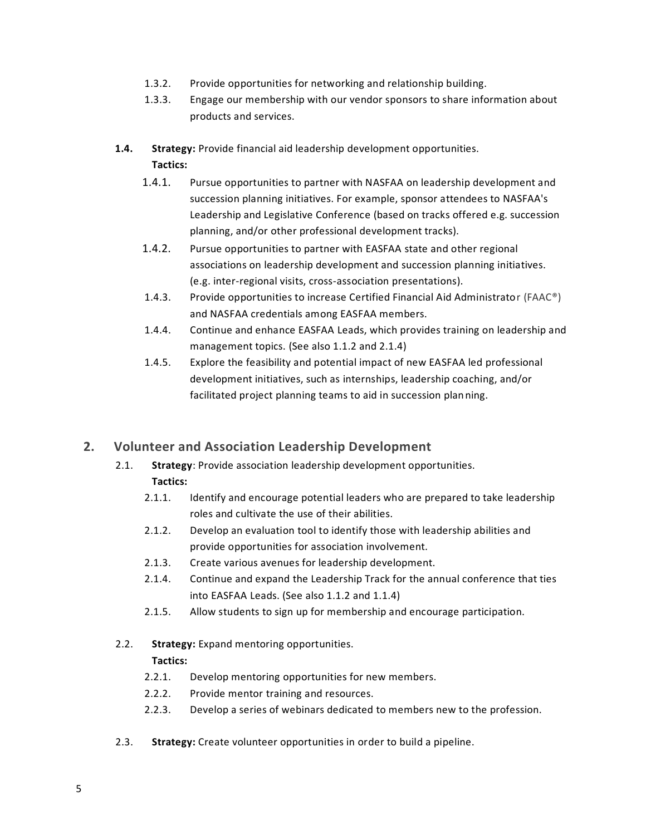- 1.3.2. Provide opportunities for networking and relationship building.
- 1.3.3. Engage our membership with our vendor sponsors to share information about products and services.
- **1.4. Strategy:** Provide financial aid leadership development opportunities. **Tactics:**
	- 1.4.1. Pursue opportunities to partner with NASFAA on leadership development and succession planning initiatives. For example, sponsor attendees to NASFAA's Leadership and Legislative Conference (based on tracks offered e.g. succession planning, and/or other professional development tracks).
	- 1.4.2. Pursue opportunities to partner with EASFAA state and other regional associations on leadership development and succession planning initiatives. (e.g. inter-regional visits, cross-association presentations).
	- 1.4.3. Provide opportunities to increase Certified Financial Aid Administrator (FAAC®) and NASFAA credentials among EASFAA members.
	- 1.4.4. Continue and enhance EASFAA Leads, which provides training on leadership and management topics. (See also 1.1.2 and 2.1.4)
	- 1.4.5. Explore the feasibility and potential impact of new EASFAA led professional development initiatives, such as internships, leadership coaching, and/or facilitated project planning teams to aid in succession planning.

### <span id="page-4-0"></span>**2. Volunteer and Association Leadership Development**

- 2.1. **Strategy**: Provide association leadership development opportunities. **Tactics:** 
	- 2.1.1. Identify and encourage potential leaders who are prepared to take leadership roles and cultivate the use of their abilities.
	- 2.1.2. Develop an evaluation tool to identify those with leadership abilities and provide opportunities for association involvement.
	- 2.1.3. Create various avenues for leadership development.
	- 2.1.4. Continue and expand the Leadership Track for the annual conference that ties into EASFAA Leads. (See also 1.1.2 and 1.1.4)
	- 2.1.5. Allow students to sign up for membership and encourage participation.
- 2.2. **Strategy:** Expand mentoring opportunities.

- 2.2.1. Develop mentoring opportunities for new members.
- 2.2.2. Provide mentor training and resources.
- 2.2.3. Develop a series of webinars dedicated to members new to the profession.
- 2.3. **Strategy:** Create volunteer opportunities in order to build a pipeline.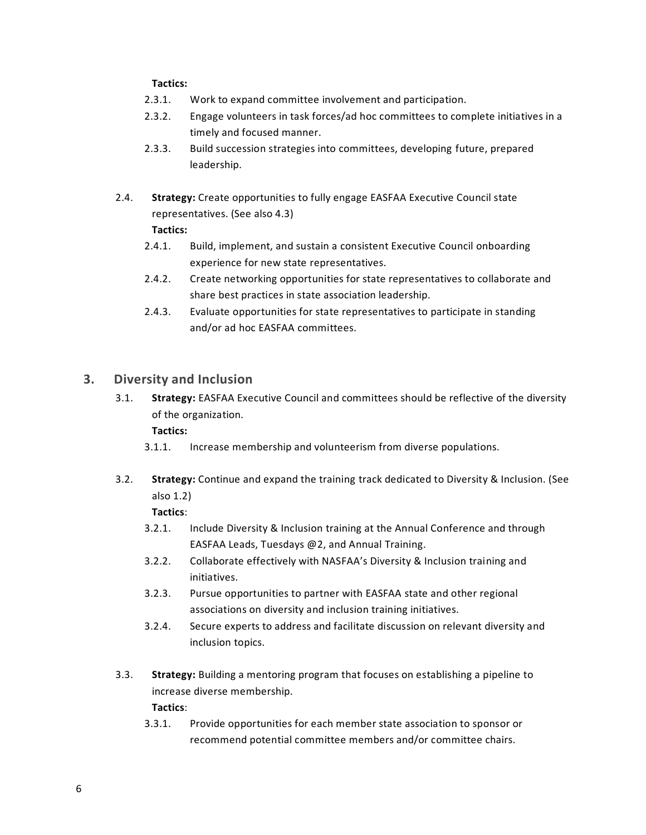#### **Tactics:**

- 2.3.1. Work to expand committee involvement and participation.
- 2.3.2. Engage volunteers in task forces/ad hoc committees to complete initiatives in a timely and focused manner.
- 2.3.3. Build succession strategies into committees, developing future, prepared leadership.
- 2.4. **Strategy:** Create opportunities to fully engage EASFAA Executive Council state representatives. (See also 4.3) **Tactics:**
	- 2.4.1. Build, implement, and sustain a consistent Executive Council onboarding experience for new state representatives.
	- 2.4.2. Create networking opportunities for state representatives to collaborate and share best practices in state association leadership.
	- 2.4.3. Evaluate opportunities for state representatives to participate in standing and/or ad hoc EASFAA committees.

#### <span id="page-5-0"></span>**3. Diversity and Inclusion**

3.1. **Strategy:** EASFAA Executive Council and committees should be reflective of the diversity of the organization.

### **Tactics:**

- 3.1.1. Increase membership and volunteerism from diverse populations.
- 3.2. **Strategy:** Continue and expand the training track dedicated to Diversity & Inclusion. (See also 1.2)

- 3.2.1. Include Diversity & Inclusion training at the Annual Conference and through EASFAA Leads, Tuesdays @2, and Annual Training.
- 3.2.2. Collaborate effectively with NASFAA's Diversity & Inclusion training and initiatives.
- 3.2.3. Pursue opportunities to partner with EASFAA state and other regional associations on diversity and inclusion training initiatives.
- 3.2.4. Secure experts to address and facilitate discussion on relevant diversity and inclusion topics.
- 3.3. **Strategy:** Building a mentoring program that focuses on establishing a pipeline to increase diverse membership. **Tactics**:
	- 3.3.1. Provide opportunities for each member state association to sponsor or recommend potential committee members and/or committee chairs.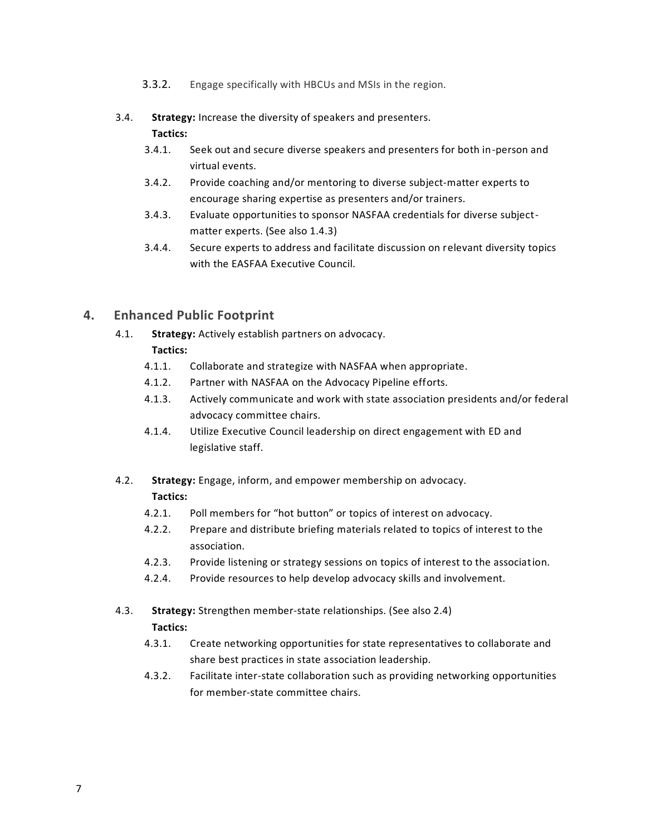- 3.3.2. Engage specifically with HBCUs and MSIs in the region.
- 3.4. **Strategy:** Increase the diversity of speakers and presenters. **Tactics:** 
	- 3.4.1. Seek out and secure diverse speakers and presenters for both in-person and virtual events.
	- 3.4.2. Provide coaching and/or mentoring to diverse subject-matter experts to encourage sharing expertise as presenters and/or trainers.
	- 3.4.3. Evaluate opportunities to sponsor NASFAA credentials for diverse subjectmatter experts. (See also 1.4.3)
	- 3.4.4. Secure experts to address and facilitate discussion on relevant diversity topics with the EASFAA Executive Council.

### <span id="page-6-0"></span>**4. Enhanced Public Footprint**

4.1. **Strategy:** Actively establish partners on advocacy.

- 4.1.1. Collaborate and strategize with NASFAA when appropriate.
- 4.1.2. Partner with NASFAA on the Advocacy Pipeline efforts.
- 4.1.3. Actively communicate and work with state association presidents and/or federal advocacy committee chairs.
- 4.1.4. Utilize Executive Council leadership on direct engagement with ED and legislative staff.
- 4.2. **Strategy:** Engage, inform, and empower membership on advocacy. **Tactics:** 
	- 4.2.1. Poll members for "hot button" or topics of interest on advocacy.
	- 4.2.2. Prepare and distribute briefing materials related to topics of interest to the association.
	- 4.2.3. Provide listening or strategy sessions on topics of interest to the association.
	- 4.2.4. Provide resources to help develop advocacy skills and involvement.
- 4.3. **Strategy:** Strengthen member-state relationships. (See also 2.4)
	- **Tactics:**
	- 4.3.1. Create networking opportunities for state representatives to collaborate and share best practices in state association leadership.
	- 4.3.2. Facilitate inter-state collaboration such as providing networking opportunities for member-state committee chairs.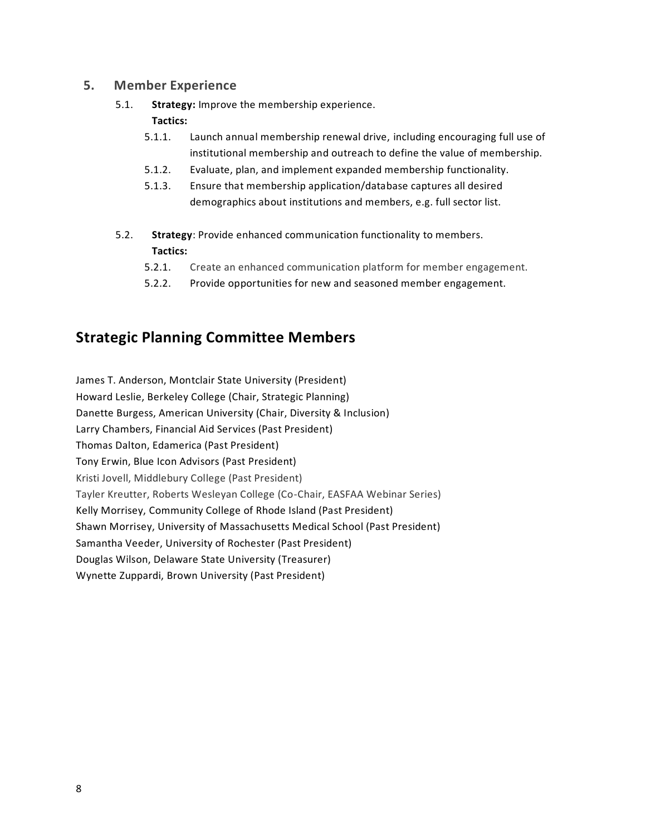#### <span id="page-7-0"></span>**5. Member Experience**

5.1. **Strategy:** Improve the membership experience.

#### **Tactics:**

- 5.1.1. Launch annual membership renewal drive, including encouraging full use of institutional membership and outreach to define the value of membership.
- 5.1.2. Evaluate, plan, and implement expanded membership functionality.
- 5.1.3. Ensure that membership application/database captures all desired demographics about institutions and members, e.g. full sector list.
- 5.2. **Strategy**: Provide enhanced communication functionality to members. **Tactics:**
	- 5.2.1. Create an enhanced communication platform for member engagement.
	- 5.2.2. Provide opportunities for new and seasoned member engagement.

## <span id="page-7-1"></span>**Strategic Planning Committee Members**

James T. Anderson, Montclair State University (President) Howard Leslie, Berkeley College (Chair, Strategic Planning) Danette Burgess, American University (Chair, Diversity & Inclusion) Larry Chambers, Financial Aid Services (Past President) Thomas Dalton, Edamerica (Past President) Tony Erwin, Blue Icon Advisors (Past President) Kristi Jovell, Middlebury College (Past President) Tayler Kreutter, Roberts Wesleyan College (Co-Chair, EASFAA Webinar Series) Kelly Morrisey, Community College of Rhode Island (Past President) Shawn Morrisey, University of Massachusetts Medical School (Past President) Samantha Veeder, University of Rochester (Past President) Douglas Wilson, Delaware State University (Treasurer) Wynette Zuppardi, Brown University (Past President)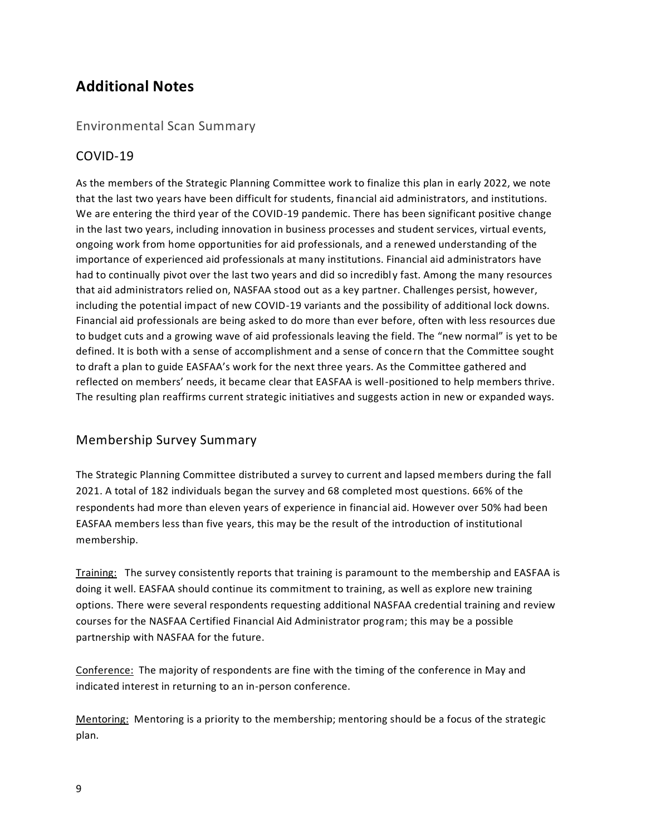## <span id="page-8-0"></span>**Additional Notes**

### <span id="page-8-1"></span>Environmental Scan Summary

### COVID-19

As the members of the Strategic Planning Committee work to finalize this plan in early 2022, we note that the last two years have been difficult for students, financial aid administrators, and institutions. We are entering the third year of the COVID-19 pandemic. There has been significant positive change in the last two years, including innovation in business processes and student services, virtual events, ongoing work from home opportunities for aid professionals, and a renewed understanding of the importance of experienced aid professionals at many institutions. Financial aid administrators have had to continually pivot over the last two years and did so incredibly fast. Among the many resources that aid administrators relied on, NASFAA stood out as a key partner. Challenges persist, however, including the potential impact of new COVID-19 variants and the possibility of additional lock downs. Financial aid professionals are being asked to do more than ever before, often with less resources due to budget cuts and a growing wave of aid professionals leaving the field. The "new normal" is yet to be defined. It is both with a sense of accomplishment and a sense of conce rn that the Committee sought to draft a plan to guide EASFAA's work for the next three years. As the Committee gathered and reflected on members' needs, it became clear that EASFAA is well-positioned to help members thrive. The resulting plan reaffirms current strategic initiatives and suggests action in new or expanded ways.

### Membership Survey Summary

The Strategic Planning Committee distributed a survey to current and lapsed members during the fall 2021. A total of 182 individuals began the survey and 68 completed most questions. 66% of the respondents had more than eleven years of experience in financial aid. However over 50% had been EASFAA members less than five years, this may be the result of the introduction of institutional membership.

Training: The survey consistently reports that training is paramount to the membership and EASFAA is doing it well. EASFAA should continue its commitment to training, as well as explore new training options. There were several respondents requesting additional NASFAA credential training and review courses for the NASFAA Certified Financial Aid Administrator program; this may be a possible partnership with NASFAA for the future.

Conference: The majority of respondents are fine with the timing of the conference in May and indicated interest in returning to an in-person conference.

Mentoring: Mentoring is a priority to the membership; mentoring should be a focus of the strategic plan.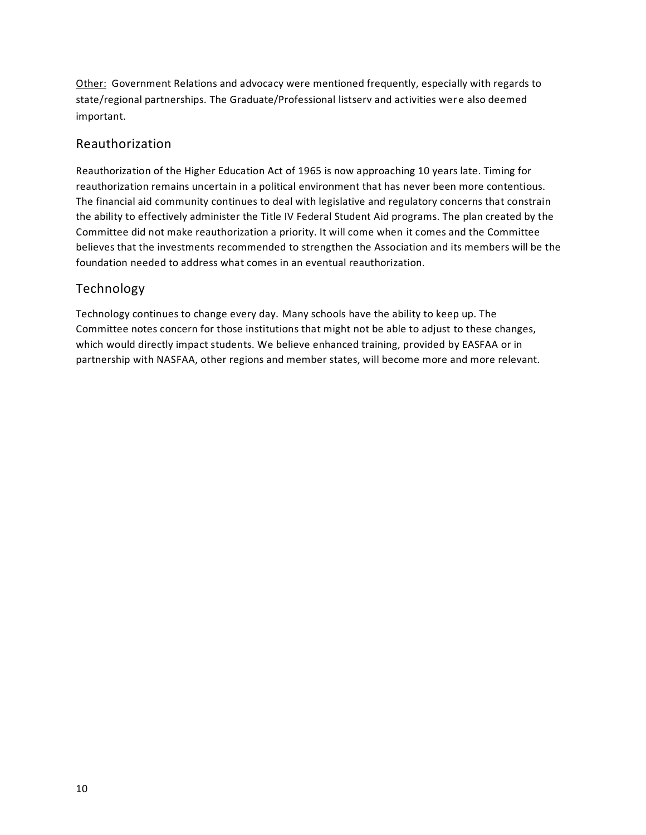Other: Government Relations and advocacy were mentioned frequently, especially with regards to state/regional partnerships. The Graduate/Professional listserv and activities were also deemed important.

### Reauthorization

Reauthorization of the Higher Education Act of 1965 is now approaching 10 years late. Timing for reauthorization remains uncertain in a political environment that has never been more contentious. The financial aid community continues to deal with legislative and regulatory concerns that constrain the ability to effectively administer the Title IV Federal Student Aid programs. The plan created by the Committee did not make reauthorization a priority. It will come when it comes and the Committee believes that the investments recommended to strengthen the Association and its members will be the foundation needed to address what comes in an eventual reauthorization.

### Technology

Technology continues to change every day. Many schools have the ability to keep up. The Committee notes concern for those institutions that might not be able to adjust to these changes, which would directly impact students. We believe enhanced training, provided by EASFAA or in partnership with NASFAA, other regions and member states, will become more and more relevant.